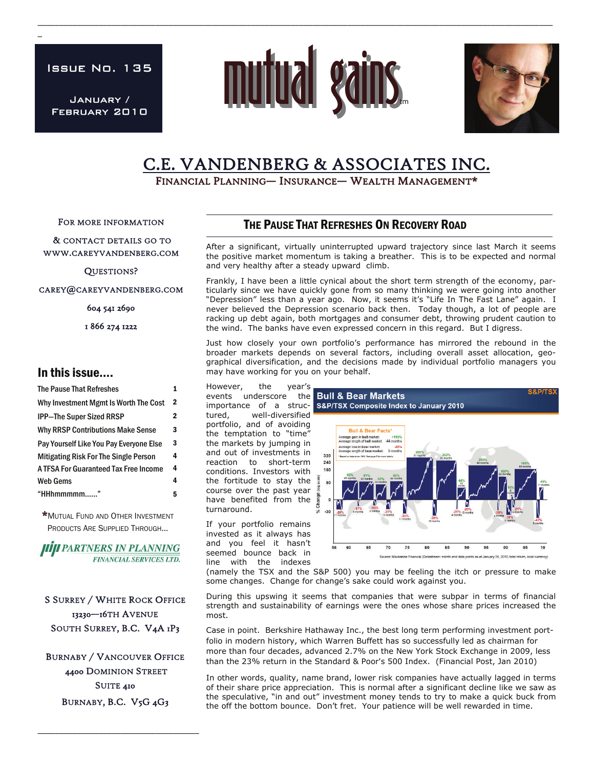Issue No. 135

 $\overline{a}$ 

January / February 2010



\_\_\_\_\_\_\_\_\_\_\_\_\_\_\_\_\_\_\_\_\_\_\_\_\_\_\_\_\_\_\_\_\_\_\_\_\_\_\_\_\_\_\_\_\_\_\_\_\_\_\_\_\_\_\_\_\_\_\_\_\_\_\_\_\_\_\_\_\_\_\_\_\_\_\_\_\_\_\_\_\_\_\_\_\_\_\_\_\_\_\_\_\_\_\_\_\_\_\_\_\_\_\_\_\_\_\_\_\_\_\_\_\_\_\_\_\_\_



# C.E. VANDENBERG & ASSOCIATES INC.<br>Financial Planning— Insurance— Wealth Management\*

FOR MORE INFORMATION

 & CONTACT DETAILS GO TO WWW.CAREYVANDENBERG.COM

QUESTIONS?

CAREY@CAREYVANDENBERG.COM

604 541 2690

1 866 274 1222

#### In this issue….

| The Pause That Refreshes                     |              |
|----------------------------------------------|--------------|
| Why Investment Mgmt Is Worth The Cost        | 2            |
| <b>IPP-The Super Sized RRSP</b>              | $\mathbf{2}$ |
| <b>Why RRSP Contributions Make Sense</b>     | 3            |
| Pay Yourself Like You Pay Everyone Else      | 3            |
| <b>Mitigating Risk For The Single Person</b> | 4            |
| A TFSA For Guaranteed Tax Free Income        | 4            |
| <b>Web Gems</b>                              | 4            |
| "HHhmmmmmm                                   | 5            |
|                                              |              |

\*MUTUAL FUND AND OTHER INVESTMENT PRODUCTS ARE SUPPLIED THROUGH...



S SURREY / WHITE ROCK OFFICE 13230—16TH AVENUE SOUTH SURREY, B.C. V4A 1P3

BURNABY / VANCOUVER OFFICE 4400 DOMINION STREET SUITE 410 BURNABY, B.C. V5G 4G3

\_\_\_\_\_\_\_\_\_\_\_\_\_\_\_\_\_\_\_\_\_\_\_\_\_\_\_\_\_\_\_\_\_\_\_\_\_

### THE PAUSE THAT REFRESHES ON RECOVERY ROAD

After a significant, virtually uninterrupted upward trajectory since last March it seems the positive market momentum is taking a breather. This is to be expected and normal and very healthy after a steady upward climb.

Frankly, I have been a little cynical about the short term strength of the economy, particularly since we have quickly gone from so many thinking we were going into another "Depression" less than a year ago. Now, it seems it's "Life In The Fast Lane" again. I never believed the Depression scenario back then. Today though, a lot of people are racking up debt again, both mortgages and consumer debt, throwing prudent caution to the wind. The banks have even expressed concern in this regard. But I digress.

Just how closely your own portfolio's performance has mirrored the rebound in the broader markets depends on several factors, including overall asset allocation, geographical diversification, and the decisions made by individual portfolio managers you may have working for you on your behalf.

However, the year's events underscore the Bull & Bear Markets tured, well-diversified portfolio, and of avoiding the temptation to "time" the markets by jumping in and out of investments in reaction to short-term conditions. Investors with the fortitude to stay the course over the past year have benefited from the turnaround.

If your portfolio remains invested as it always has and you feel it hasn't seemed bounce back in line with the indexes



(namely the TSX and the S&P 500) you may be feeling the itch or pressure to make some changes. Change for change's sake could work against you.

During this upswing it seems that companies that were subpar in terms of financial strength and sustainability of earnings were the ones whose share prices increased the most.

Case in point. Berkshire Hathaway Inc., the best long term performing investment portfolio in modern history, which Warren Buffett has so successfully led as chairman for more than four decades, advanced 2.7% on the New York Stock Exchange in 2009, less than the 23% return in the Standard & Poor's 500 Index. (Financial Post, Jan 2010)

In other words, quality, name brand, lower risk companies have actually lagged in terms of their share price appreciation. This is normal after a significant decline like we saw as the speculative, "in and out" investment money tends to try to make a quick buck from the off the bottom bounce. Don't fret. Your patience will be well rewarded in time.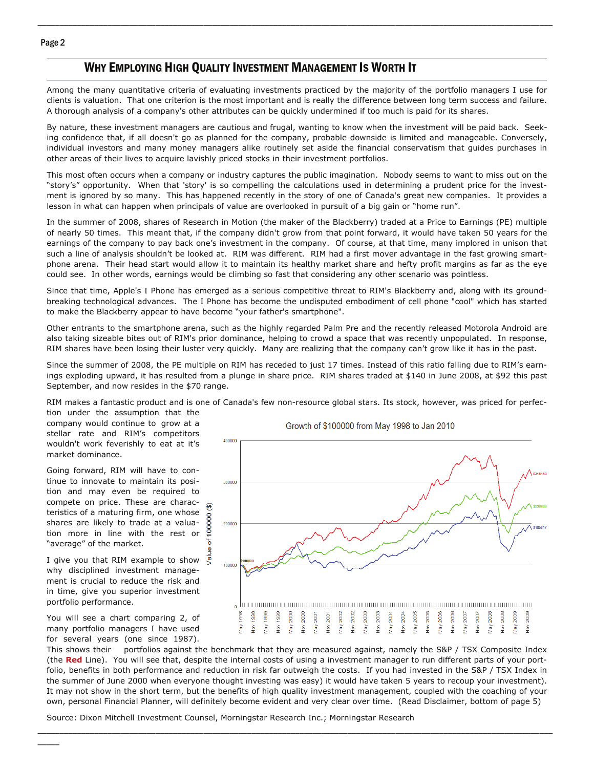#### WHY EMPLOYING HIGH QUALITY INVESTMENT MANAGEMENT IS WORTH IT

Among the many quantitative criteria of evaluating investments practiced by the majority of the portfolio managers I use for clients is valuation. That one criterion is the most important and is really the difference between long term success and failure. A thorough analysis of a company's other attributes can be quickly undermined if too much is paid for its shares.

\_\_\_\_\_\_\_\_\_\_\_\_\_\_\_\_\_\_\_\_\_\_\_\_\_\_\_\_\_\_\_\_\_\_\_\_\_\_\_\_\_\_\_\_\_\_\_\_\_\_\_\_\_\_\_\_\_\_\_\_\_\_\_\_\_\_\_\_\_\_\_\_\_\_\_\_\_\_\_\_\_\_\_\_\_\_\_\_\_\_\_\_\_\_\_\_\_\_\_\_\_\_\_\_\_\_\_\_\_\_\_\_\_\_\_\_\_\_

By nature, these investment managers are cautious and frugal, wanting to know when the investment will be paid back. Seeking confidence that, if all doesn't go as planned for the company, probable downside is limited and manageable. Conversely, individual investors and many money managers alike routinely set aside the financial conservatism that guides purchases in other areas of their lives to acquire lavishly priced stocks in their investment portfolios.

This most often occurs when a company or industry captures the public imagination. Nobody seems to want to miss out on the "story's" opportunity. When that 'story' is so compelling the calculations used in determining a prudent price for the investment is ignored by so many. This has happened recently in the story of one of Canada's great new companies. It provides a lesson in what can happen when principals of value are overlooked in pursuit of a big gain or "home run".

In the summer of 2008, shares of Research in Motion (the maker of the Blackberry) traded at a Price to Earnings (PE) multiple of nearly 50 times. This meant that, if the company didn't grow from that point forward, it would have taken 50 years for the earnings of the company to pay back one's investment in the company. Of course, at that time, many implored in unison that such a line of analysis shouldn't be looked at. RIM was different. RIM had a first mover advantage in the fast growing smartphone arena. Their head start would allow it to maintain its healthy market share and hefty profit margins as far as the eye could see. In other words, earnings would be climbing so fast that considering any other scenario was pointless.

Since that time, Apple's I Phone has emerged as a serious competitive threat to RIM's Blackberry and, along with its groundbreaking technological advances. The I Phone has become the undisputed embodiment of cell phone "cool" which has started to make the Blackberry appear to have become "your father's smartphone".

Other entrants to the smartphone arena, such as the highly regarded Palm Pre and the recently released Motorola Android are also taking sizeable bites out of RIM's prior dominance, helping to crowd a space that was recently unpopulated. In response, RIM shares have been losing their luster very quickly. Many are realizing that the company can't grow like it has in the past.

Since the summer of 2008, the PE multiple on RIM has receded to just 17 times. Instead of this ratio falling due to RIM's earnings exploding upward, it has resulted from a plunge in share price. RIM shares traded at \$140 in June 2008, at \$92 this past September, and now resides in the \$70 range.

RIM makes a fantastic product and is one of Canada's few non-resource global stars. Its stock, however, was priced for perfec-

tion under the assumption that the company would continue to grow at a stellar rate and RIM's competitors wouldn't work feverishly to eat at it's market dominance.

Going forward, RIM will have to continue to innovate to maintain its position and may even be required to compete on price. These are characteristics of a maturing firm, one whose shares are likely to trade at a valuation more in line with the rest or "average" of the market.

I give you that RIM example to show  $\frac{1}{\sqrt{5}}$ why disciplined investment management is crucial to reduce the risk and in time, give you superior investment portfolio performance.

You will see a chart comparing 2, of many portfolio managers I have used for several years (one since 1987).



This shows their portfolios against the benchmark that they are measured against, namely the S&P / TSX Composite Index (the **Red** Line). You will see that, despite the internal costs of using a investment manager to run different parts of your portfolio, benefits in both performance and reduction in risk far outweigh the costs. If you had invested in the S&P / TSX Index in the summer of June 2000 when everyone thought investing was easy) it would have taken 5 years to recoup your investment). It may not show in the short term, but the benefits of high quality investment management, coupled with the coaching of your own, personal Financial Planner, will definitely become evident and very clear over time. (Read Disclaimer, bottom of page 5)

\_\_\_\_\_\_\_\_\_\_\_\_\_\_\_\_\_\_\_\_\_\_\_\_\_\_\_\_\_\_\_\_\_\_\_\_\_\_\_\_\_\_\_\_\_\_\_\_\_\_\_\_\_\_\_\_\_\_\_\_\_\_\_\_\_\_\_\_\_\_\_\_\_\_\_\_\_\_\_\_\_\_\_\_\_\_\_\_\_\_\_\_\_\_\_\_\_\_\_\_\_\_\_\_\_\_\_\_\_\_\_\_\_\_\_\_\_\_

Source: Dixon Mitchell Investment Counsel, Morningstar Research Inc.; Morningstar Research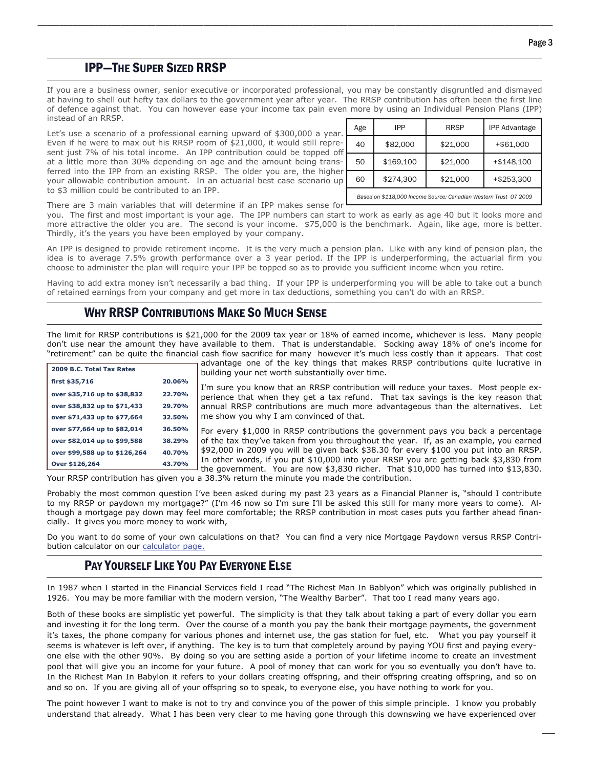\_\_\_

## IPP—THE SUPER SIZED RRSP

If you are a business owner, senior executive or incorporated professional, you may be constantly disgruntled and dismayed at having to shell out hefty tax dollars to the government year after year. The RRSP contribution has often been the first line of defence against that. You can however ease your income tax pain even more by using an Individual Pension Plans (IPP) instead of an RRSP.

\_\_\_\_\_\_\_\_\_\_\_\_\_\_\_\_\_\_\_\_\_\_\_\_\_\_\_\_\_\_\_\_\_\_\_\_\_\_\_\_\_\_\_\_\_\_\_\_\_\_\_\_\_\_\_\_\_\_\_\_\_\_\_\_\_\_\_\_\_\_\_\_\_\_\_\_\_\_\_\_\_\_\_\_\_\_\_\_\_\_\_\_\_\_\_\_\_\_\_\_\_\_\_\_\_\_\_\_\_\_\_\_\_\_\_\_\_\_

Let's use a scenario of a professional earning upward of \$300,000 a year. Even if he were to max out his RRSP room of \$21,000, it would still represent just 7% of his total income. An IPP contribution could be topped off at a little more than 30% depending on age and the amount being transferred into the IPP from an existing RRSP. The older you are, the highe your allowable contribution amount. In an actuarial best case scenario up to \$3 million could be contributed to an IPP.

| Age                                                              | <b>IPP</b> | <b>RRSP</b> | <b>IPP Advantage</b> |  |
|------------------------------------------------------------------|------------|-------------|----------------------|--|
| 40<br>ff                                                         | \$82,000   | \$21,000    | +\$61,000            |  |
| 50                                                               | \$169,100  | \$21,000    | +\$148,100           |  |
| 60                                                               | \$274,300  | \$21,000    | +\$253,300           |  |
| Based on \$118,000 Income Source: Canadian Western Trust 07 2009 |            |             |                      |  |

There are 3 main variables that will determine if an IPP makes sense for

 Thirdly, it's the years you have been employed by your company. you. The first and most important is your age. The IPP numbers can start to work as early as age 40 but it looks more and more attractive the older you are. The second is your income. \$75,000 is the benchmark. Again, like age, more is better.

An IPP is designed to provide retirement income. It is the very much a pension plan. Like with any kind of pension plan, the idea is to average 7.5% growth performance over a 3 year period. If the IPP is underperforming, the actuarial firm you choose to administer the plan will require your IPP be topped so as to provide you sufficient income when you retire.

Having to add extra money isn't necessarily a bad thing. If your IPP is underperforming you will be able to take out a bunch of retained earnings from your company and get more in tax deductions, something you can't do with an RRSP.

#### WHY RRSP CONTRIBUTIONS MAKE SO MUCH SENSE

The limit for RRSP contributions is \$21,000 for the 2009 tax year or 18% of earned income, whichever is less. Many people don't use near the amount they have available to them. That is understandable. Socking away 18% of one's income for "retirement" can be quite the financial cash flow sacrifice for many however it's much less costly than it appears. That cost

| 2009 B.C. Total Tax Rates     |        |
|-------------------------------|--------|
| first \$35,716                | 20.06% |
| over \$35,716 up to \$38,832  | 22.70% |
| over \$38,832 up to \$71,433  | 29.70% |
| over \$71,433 up to \$77,664  | 32.50% |
| over \$77,664 up to \$82,014  | 36.50% |
| over \$82,014 up to \$99,588  | 38.29% |
| over \$99,588 up to \$126,264 | 40.70% |
| Over \$126,264                | 43.70% |

advantage one of the key things that makes RRSP contributions quite lucrative in building your net worth substantially over time.

I'm sure you know that an RRSP contribution will reduce your taxes. Most people experience that when they get a tax refund. That tax savings is the key reason that annual RRSP contributions are much more advantageous than the alternatives. Let me show you why I am convinced of that.

For every \$1,000 in RRSP contributions the government pays you back a percentage of the tax they've taken from you throughout the year. If, as an example, you earned \$92,000 in 2009 you will be given back \$38.30 for every \$100 you put into an RRSP. In other words, if you put \$10,000 into your RRSP you are getting back \$3,830 from I the government. You are now  $$3,830$  richer. That  $$10,000$  has turned into  $$13,830$ .

Your RRSP contribution has given you a 38.3% return the minute you made the contribution.

Probably the most common question I've been asked during my past 23 years as a Financial Planner is, "should I contribute to my RRSP or paydown my mortgage?" (I'm 46 now so I'm sure I'll be asked this still for many more years to come). Although a mortgage pay down may feel more comfortable; the RRSP contribution in most cases puts you farther ahead financially. It gives you more money to work with,

Do you want to do some of your own calculations on that? You can find a very nice Mortgage Paydown versus RRSP Contribution calculator on our [calculator page.](http://www.careyvandenberg.com/calculators.php)

#### PAY YOURSELF LIKE YOU PAY EVERYONE ELSE

In 1987 when I started in the Financial Services field I read "The Richest Man In Bablyon" which was originally published in 1926. You may be more familiar with the modern version, "The Wealthy Barber". That too I read many years ago.

Both of these books are simplistic yet powerful. The simplicity is that they talk about taking a part of every dollar you earn and investing it for the long term. Over the course of a month you pay the bank their mortgage payments, the government it's taxes, the phone company for various phones and internet use, the gas station for fuel, etc. What you pay yourself it seems is whatever is left over, if anything. The key is to turn that completely around by paying YOU first and paying everyone else with the other 90%. By doing so you are setting aside a portion of your lifetime income to create an investment pool that will give you an income for your future. A pool of money that can work for you so eventually you don't have to. In the Richest Man In Babylon it refers to your dollars creating offspring, and their offspring creating offspring, and so on and so on. If you are giving all of your offspring so to speak, to everyone else, you have nothing to work for you.

The point however I want to make is not to try and convince you of the power of this simple principle. I know you probably understand that already. What I has been very clear to me having gone through this downswing we have experienced over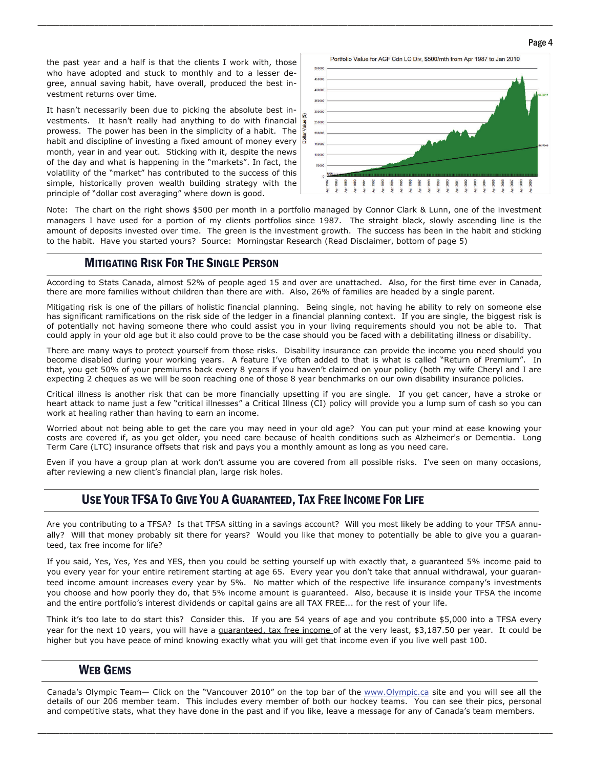the past year and a half is that the clients I work with, those who have adopted and stuck to monthly and to a lesser degree, annual saving habit, have overall, produced the best investment returns over time.

It hasn't necessarily been due to picking the absolute best investments. It hasn't really had anything to do with financial prowess. The power has been in the simplicity of a habit. The habit and discipline of investing a fixed amount of money every  $\sqrt{8}$ month, year in and year out. Sticking with it, despite the news of the day and what is happening in the "markets". In fact, the volatility of the "market" has contributed to the success of this simple, historically proven wealth building strategy with the principle of "dollar cost averaging" where down is good.



Note: The chart on the right shows \$500 per month in a portfolio managed by Connor Clark & Lunn, one of the investment managers I have used for a portion of my clients portfolios since 1987. The straight black, slowly ascending line is the amount of deposits invested over time. The green is the investment growth. The success has been in the habit and sticking to the habit. Have you started yours? Source: Morningstar Research (Read Disclaimer, bottom of page 5)

\_\_\_\_\_\_\_\_\_\_\_\_\_\_\_\_\_\_\_\_\_\_\_\_\_\_\_\_\_\_\_\_\_\_\_\_\_\_\_\_\_\_\_\_\_\_\_\_\_\_\_\_\_\_\_\_\_\_\_\_\_\_\_\_\_\_\_\_\_\_\_\_\_\_\_\_\_\_\_\_\_\_\_\_\_\_\_\_\_\_\_\_\_\_\_\_\_\_\_\_\_\_\_\_\_\_\_\_\_\_\_\_\_\_\_\_\_\_

### MITIGATING RISK FOR THE SINGLE PERSON

 According to Stats Canada, almost 52% of people aged 15 and over are unattached. Also, for the first time ever in Canada, there are more families without children than there are with. Also, 26% of families are headed by a single parent.

Mitigating risk is one of the pillars of holistic financial planning. Being single, not having he ability to rely on someone else has significant ramifications on the risk side of the ledger in a financial planning context. If you are single, the biggest risk is of potentially not having someone there who could assist you in your living requirements should you not be able to. That could apply in your old age but it also could prove to be the case should you be faced with a debilitating illness or disability.

There are many ways to protect yourself from those risks. Disability insurance can provide the income you need should you become disabled during your working years. A feature I've often added to that is what is called "Return of Premium". In that, you get 50% of your premiums back every 8 years if you haven't claimed on your policy (both my wife Cheryl and I are expecting 2 cheques as we will be soon reaching one of those 8 year benchmarks on our own disability insurance policies.

Critical illness is another risk that can be more financially upsetting if you are single. If you get cancer, have a stroke or heart attack to name just a few "critical illnesses" a Critical Illness (CI) policy will provide you a lump sum of cash so you can work at healing rather than having to earn an income.

Worried about not being able to get the care you may need in your old age? You can put your mind at ease knowing your costs are covered if, as you get older, you need care because of health conditions such as Alzheimer's or Dementia. Long Term Care (LTC) insurance offsets that risk and pays you a monthly amount as long as you need care.

Even if you have a group plan at work don't assume you are covered from all possible risks. I've seen on many occasions, after reviewing a new client's financial plan, large risk holes.

## USE YOUR TFSA TO GIVE YOU A GUARANTEED, TAX FREE INCOME FOR LIFE

Are you contributing to a TFSA? Is that TFSA sitting in a savings account? Will you most likely be adding to your TFSA annually? Will that money probably sit there for years? Would you like that money to potentially be able to give you a guaranteed, tax free income for life?

If you said, Yes, Yes, Yes and YES, then you could be setting yourself up with exactly that, a guaranteed 5% income paid to you every year for your entire retirement starting at age 65. Every year you don't take that annual withdrawal, your guaranteed income amount increases every year by 5%. No matter which of the respective life insurance company's investments you choose and how poorly they do, that 5% income amount is guaranteed. Also, because it is inside your TFSA the income and the entire portfolio's interest dividends or capital gains are all TAX FREE... for the rest of your life.

Think it's too late to do start this? Consider this. If you are 54 years of age and you contribute \$5,000 into a TFSA every year for the next 10 years, you will have a quaranteed, tax free income of at the very least, \$3,187.50 per year. It could be higher but you have peace of mind knowing exactly what you will get that income even if you live well past 100.

#### WEB GEMS

Canada's Olympic Team- Click on the "Vancouver 2010" on the top bar of the [www.Olympic.ca](http://www.Olympic.ca) site and you will see all the details of our 206 member team. This includes every member of both our hockey teams. You can see their pics, personal and competitive stats, what they have done in the past and if you like, leave a message for any of Canada's team members.

\_\_\_\_\_\_\_\_\_\_\_\_\_\_\_\_\_\_\_\_\_\_\_\_\_\_\_\_\_\_\_\_\_\_\_\_\_\_\_\_\_\_\_\_\_\_\_\_\_\_\_\_\_\_\_\_\_\_\_\_\_\_\_\_\_\_\_\_\_\_\_\_\_\_\_\_\_\_\_\_\_\_\_\_\_\_\_\_\_\_\_\_\_\_\_\_\_\_\_\_\_\_\_\_\_\_\_\_\_\_\_\_\_\_\_\_\_\_